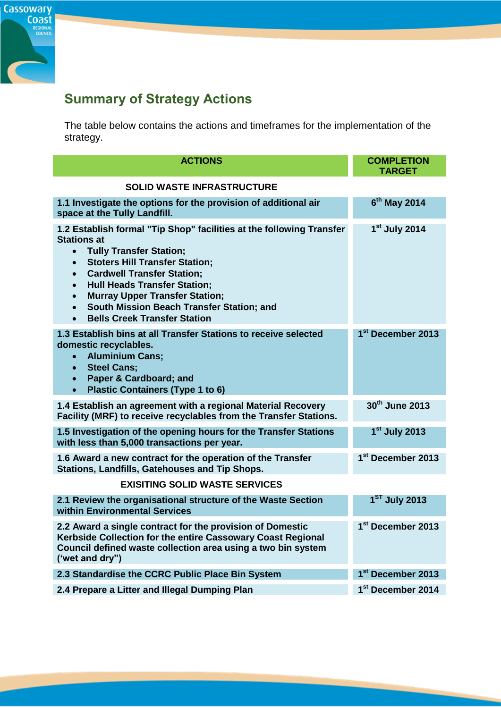

## **Summary of Strategy Actions**

The table below contains the actions and timeframes for the implementation of the strategy.

| <b>ACTIONS</b>                                                                                                                                                                                                                                                                                                                                                                                                                                                            | <b>COMPLETION</b><br><b>TARGET</b> |
|---------------------------------------------------------------------------------------------------------------------------------------------------------------------------------------------------------------------------------------------------------------------------------------------------------------------------------------------------------------------------------------------------------------------------------------------------------------------------|------------------------------------|
| <b>SOLID WASTE INFRASTRUCTURE</b>                                                                                                                                                                                                                                                                                                                                                                                                                                         |                                    |
| 1.1 Investigate the options for the provision of additional air<br>space at the Tully Landfill.                                                                                                                                                                                                                                                                                                                                                                           | 6 <sup>th</sup> May 2014           |
| 1.2 Establish formal "Tip Shop" facilities at the following Transfer<br><b>Stations at</b><br><b>Tully Transfer Station;</b><br>$\bullet$<br><b>Stoters Hill Transfer Station;</b><br>$\bullet$<br><b>Cardwell Transfer Station;</b><br>$\bullet$<br><b>Hull Heads Transfer Station;</b><br>$\bullet$<br><b>Murray Upper Transfer Station;</b><br>$\bullet$<br>South Mission Beach Transfer Station; and<br>$\bullet$<br><b>Bells Creek Transfer Station</b><br>$\bullet$ | $1st$ July 2014                    |
| 1.3 Establish bins at all Transfer Stations to receive selected<br>domestic recyclables.<br><b>Aluminium Cans;</b><br>$\bullet$<br><b>Steel Cans;</b><br>$\bullet$<br>Paper & Cardboard; and<br>$\bullet$<br><b>Plastic Containers (Type 1 to 6)</b><br>$\bullet$                                                                                                                                                                                                         | 1 <sup>st</sup> December 2013      |
| 1.4 Establish an agreement with a regional Material Recovery<br>Facility (MRF) to receive recyclables from the Transfer Stations.                                                                                                                                                                                                                                                                                                                                         | 30th June 2013                     |
| 1.5 Investigation of the opening hours for the Transfer Stations<br>with less than 5,000 transactions per year.                                                                                                                                                                                                                                                                                                                                                           | $1st$ July 2013                    |
| 1.6 Award a new contract for the operation of the Transfer<br><b>Stations, Landfills, Gatehouses and Tip Shops.</b>                                                                                                                                                                                                                                                                                                                                                       | 1 <sup>st</sup> December 2013      |
| <b>EXISITING SOLID WASTE SERVICES</b>                                                                                                                                                                                                                                                                                                                                                                                                                                     |                                    |
| 2.1 Review the organisational structure of the Waste Section<br>within Environmental Services                                                                                                                                                                                                                                                                                                                                                                             | 1 <sup>ST</sup> July 2013          |
| 2.2 Award a single contract for the provision of Domestic<br>Kerbside Collection for the entire Cassowary Coast Regional<br>Council defined waste collection area using a two bin system<br>('wet and dry")                                                                                                                                                                                                                                                               | 1 <sup>st</sup> December 2013      |
| 2.3 Standardise the CCRC Public Place Bin System                                                                                                                                                                                                                                                                                                                                                                                                                          | 1 <sup>st</sup> December 2013      |
| 2.4 Prepare a Litter and Illegal Dumping Plan                                                                                                                                                                                                                                                                                                                                                                                                                             | 1 <sup>st</sup> December 2014      |